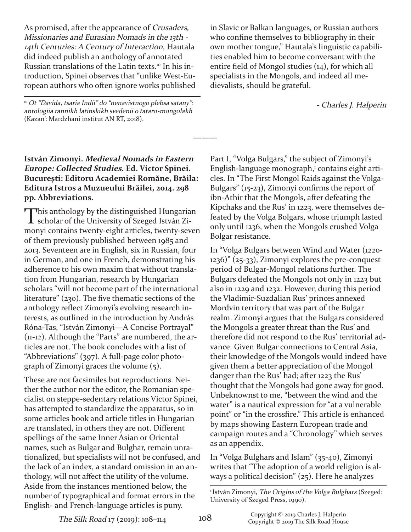As promised, after the appearance of Crusaders, Missionaries and Eurasian Nomads in the 13th 14th Centuries: <sup>A</sup> Century of Interaction, Hautala did indeed publish an anthology of annotated Russian translations of the Latin texts. <sup>10</sup> In his introduction, Spinei observes that "unlike West-European authors who often ignore works published

<sup>10</sup> Ot "Davida, tsaria Indii" do "nenavistnogo plebsa satany": antologiia rannikh latinskikh svedenii o tataro-mongolakh (Kazan': Mardzhani institut AN RT, 2018).

## **István Zimonyi. Medieval Nomads in Eastern Europe: Collected Studies. Ed. Victor Spinei. Bucureşti: Editoru Academiei Romăne, Brăila: Editura Istros a Muzueului Brăilei, 2014. 298 pp. Abbreviations.**

This anthology by the distinguished Hungarian<br>
scholar of the University of Szeged István Zimonyi contains twenty-eight articles, twenty-seven of them previously published between 1985 and 2013. Seventeen are in English, six in Russian, four in German, and one in French, demonstrating his adherence to his own maxim that without translation from Hungarian, research by Hungarian scholars "will not become part of the international literature" (230). The five thematic sections of the anthology reflect Zimonyi's evolving research interests, as outlined in the introduction by András Róna-Tas, "István Zimonyi—A Concise Portrayal"  $(n-12)$ . Although the "Parts" are numbered, the articles are not. The book concludes with a list of "Abbreviations" (397). A full-page color photograph of Zimonyi graces the volume (5).

These are not facsimiles but reproductions. Neither the author nor the editor, the Romanian specialist on steppe-sedentary relations Victor Spinei, has attempted to standardize the apparatus, so in some articles book and article titles in Hungarian are translated, in others they are not. Different spellings of the same Inner Asian or Oriental names, such as Bulgar and Bulghar, remain unrationalized, but specialists will not be confused, and the lack of an index, a standard omission in an anthology, will not affect the utility of the volume. Aside from the instances mentioned below, the number of typographical and format errors in the English- and French-language articles is puny.

in Slavic or Balkan languages, or Russian authors who confine themselves to bibliography in their own mother tongue," Hautala's linguistic capabilities enabled him to become conversant with the entire field of Mongol studies (14), for which all specialists in the Mongols, and indeed all medievalists, should be grateful.

Charles J. Halperin

Part I, "Volga Bulgars," the subject of Zimonyi's English-language monograph,<sup>1</sup> contains eight articles. In "The First Mongol Raids against the Volga-Bulgars" (15-23), Zimonyi confirms the report of ibn-Athir that the Mongols, after defeating the Kipchaks and the Rus' in 1223, were themselves defeated by the Volga Bolgars, whose triumph lasted only until 1236, when the Mongols crushed Volga Bolgar resistance.

In "Volga Bulgars between Wind and Water (1220  $1236$ )" (25-33), Zimonyi explores the pre-conquest period of Bulgar-Mongol relations further. The Bulgars defeated the Mongols not only in 1223 but also in 1229 and 1232. However, during this period the Vladimir-Suzdalian Rus' princes annexed Mordvin territory that was part of the Bulgar realm. Zimonyi argues that the Bulgars considered the Mongols a greater threat than the Rus' and therefore did not respond to the Rus' territorial advance. Given Bulgar connections to Central Asia, their knowledge of the Mongols would indeed have given them a better appreciation of the Mongol danger than the Rus' had; after 1223 the Rus' thought that the Mongols had gone away for good. Unbeknownst to me, "between the wind and the water" is a nautical expression for "at a vulnerable point" or "in the crossfire." This article is enhanced by maps showing Eastern European trade and campaign routes and a "Chronology" which serves as an appendix.

In "Volga Bulghars and Islam" (3540), Zimonyi writes that "The adoption of a world religion is always a political decision" (25). Here he analyzes

**———**

<sup>&</sup>lt;sup>1</sup> István Zimonyi, The Origins of the Volga Bulghars (Szeged: University of Szeged Press, 1990).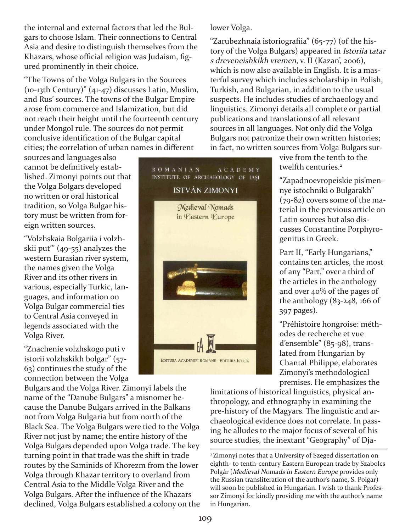the internal and external factors that led the Bulgars to choose Islam. Their connections to Central Asia and desire to distinguish themselves from the Khazars, whose official religion was Judaism, figured prominently in their choice.

"The Towns of the Volga Bulgars in the Sources  $(10-13th Century)" (41-47)$  discusses Latin, Muslim, and Rus' sources. The towns of the Bulgar Empire arose from commerce and Islamization, but did not reach their height until the fourteenth century under Mongol rule. The sources do not permit conclusive identification of the Bulgar capital cities; the correlation of urban names in different

sources and languages also cannot be definitively established. Zimonyi points out that the Volga Bolgars developed no written or oral historical tradition, so Volga Bulgar history must be written from foreign written sources.

"Volzhskaia Bolgariia i volzhskii put"  $(49-55)$  analyzes the western Eurasian river system, the names given the Volga River and its other rivers in various, especially Turkic, languages, and information on Volga Bulgar commercial ties to Central Asia conveyed in legends associated with the Volga River.

"Znachenie volzhskogo puti v istorii volzhskikh bolgar" (57 63) continues the study of the connection between the Volga

Bulgars and the Volga River. Zimonyi labels the name of the "Danube Bulgars" a misnomer because the Danube Bulgars arrived in the Balkans not from Volga Bulgaria but from north of the Black Sea. The Volga Bulgars were tied to the Volga River not just by name; the entire history of the Volga Bulgars depended upon Volga trade. The key turning point in that trade was the shift in trade routes by the Saminids of Khorezm from the lower Volga through Khazar territory to overland from Central Asia to the Middle Volga River and the Volga Bulgars. After the influence of the Khazars declined, Volga Bulgars established a colony on the

ROMANIAN A C A D E M Y INSTITUTE OF ARCHAEOLOGY OF IASI ISTVÁN ZIMONYI Medieval Nomads



lower Volga.

"Zarubezhnaia istoriografiia"  $(65-77)$  (of the history of the Volga Bulgars) appeared in Istoriia tatar <sup>s</sup> dreveneishkikh vremen, v. II (Kazan', 2006), which is now also available in English. It is a masterful survey which includes scholarship in Polish, Turkish, and Bulgarian, in addition to the usual suspects. He includes studies of archaeology and linguistics. Zimonyi details all complete or partial publications and translations of all relevant sources in all languages. Not only did the Volga Bulgars not patronize their own written histories; in fact, no written sources from Volga Bulgars sur-

vive from the tenth to the twelfth centuries. 2

"Zapadnoevropeiskie pis'mennye istochniki o Bulgarakh"  $(79-82)$  covers some of the material in the previous article on Latin sources but also discusses Constantine Porphyrogenitus in Greek.

Part II, "Early Hungarians," contains ten articles, the most of any "Part," over a third of the articles in the anthology and over 40% of the pages of the anthology  $(83-248, 166)$  of 397 pages).

"Préhistoire hongroise: méthodes de recherche et vue d'ensemble" (85-98), translated from Hungarian by Chantal Philippe, elaborates Zimonyi's methodological premises. He emphasizes the

limitations of historical linguistics, physical anthropology, and ethnography in examining the pre-history of the Magyars. The linguistic and archaeological evidence does not correlate. In passing he alludes to the major focus of several of his source studies, the inextant "Geography" of Dja-

<sup>2</sup> Zimonyi notes that a University of Szeged dissertation on eighth- to tenth-century Eastern European trade by Szabolcs Polgár (Medieval Nomads in Eastern Europe provides only the Russian transliteration of the author's name, S. Polgar) will soon be published in Hungarian. I wish to thank Professor Zimonyi for kindly providing me with the author's name in Hungarian.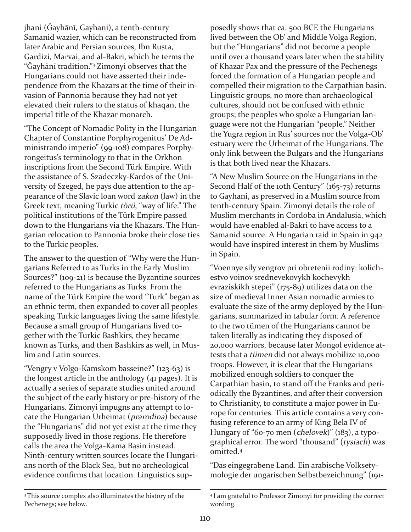jhani (Ğayhānī, Gayhani), a tenth-century Samanid wazier, which can be reconstructed from later Arabic and Persian sources, Ibn Rusta, Gardizi, Marvai, and al-Bakri, which he terms the "Ǧayhānī tradition."3 Zimonyi observes that the Hungarians could not have asserted their independence from the Khazars at the time of their invasion of Pannonia because they had not yet elevated their rulers to the status of khaqan, the imperial title of the Khazar monarch.

"The Concept of Nomadic Polity in the Hungarian Chapter of Constantine Porphyrogenitus' De Administrando imperio" (99-108) compares Porphyrongeitus's terminology to that in the Orkhon inscriptions from the Second Türk Empire. With the assistance of S. Szadeczky-Kardos of the University of Szeged, he pays due attention to the appearance of the Slavic loan word zakon (law) in the Greek text, meaning Turkic törü, "way of life." The political institutions of the Türk Empire passed down to the Hungarians via the Khazars. The Hungarian relocation to Pannonia broke their close ties to the Turkic peoples.

The answer to the question of "Why were the Hungarians Referred to as Turks in the Early Muslim Sources?"  $(109-21)$  is because the Byzantine sources referred to the Hungarians as Turks. From the name of the Türk Empire the word "Turk" began as an ethnic term, then expanded to cover all peoples speaking Turkic languages living the same lifestyle. Because a small group of Hungarians lived together with the Turkic Bashkirs, they became known as Turks, and then Bashkirs as well, in Muslim and Latin sources.

"Vengry v Volgo-Kamskom basseine?" (123-63) is the longest article in the anthology (41 pages). It is actually a series of separate studies united around the subject of the early history or pre-history of the Hungarians. Zimonyi impugns any attempt to locate the Hungarian Urheimat (prarodina) because the "Hungarians" did not yet exist at the time they supposedly lived in those regions. He therefore calls the area the Volga-Kama Basin instead. Ninth-century written sources locate the Hungarians north of the Black Sea, but no archeological evidence confirms that location. Linguistics supposedly shows that ca. 500 BCE the Hungarians lived between the Ob' and Middle Volga Region, but the "Hungarians" did not become a people until over a thousand years later when the stability of Khazar Pax and the pressure of the Pechenegs forced the formation of a Hungarian people and compelled their migration to the Carpathian basin. Linguistic groups, no more than archaeological cultures, should not be confused with ethnic groups; the peoples who spoke a Hungarian language were not the Hungarian "people." Neither the Yugra region in Rus' sources nor the Volga-Ob' estuary were the Urheimat of the Hungarians. The only link between the Bulgars and the Hungarians is that both lived near the Khazars.

"A New Muslim Source on the Hungarians in the Second Half of the 10th Century" (165-73) returns to Gayhani, as preserved in a Muslim source from tenth-century Spain. Zimonyi details the role of Muslim merchants in Cordoba in Andalusia, which would have enabled al-Bakri to have access to a Samanid source. A Hungarian raid in Spain in 942 would have inspired interest in them by Muslims in Spain.

"Voennye sily vengrov pri obretenii rodiny: kolichestvo voinov srednevekovykh kochevykh evraziskikh stepei" (175-89) utilizes data on the size of medieval Inner Asian nomadic armies to evaluate the size of the army deployed by the Hungarians, summarized in tabular form. A reference to the two tümen of the Hungarians cannot be taken literally as indicating they disposed of 20,000 warriors, because later Mongol evidence attests that a tümen did not always mobilize 10,000 troops. However, it is clear that the Hungarians mobilized enough soldiers to conquer the Carpathian basin, to stand off the Franks and periodically the Byzantines, and after their conversion to Christianity, to constitute a major power in Europe for centuries. This article contains a very confusing reference to an army of King Bela IV of Hungary of "60-70 men (chelovek)" (183), a typographical error. The word "thousand" (tysiach) was omitted. 4

"Das eingegrabene Land. Ein arabische Volksetymologie der ungarischen Selbstbezeichnung" (191

<sup>&</sup>lt;sup>3</sup>This source complex also illuminates the history of the Pechenegs; see below.

<sup>4</sup> I am grateful to Professor Zimonyi for providing the correct wording.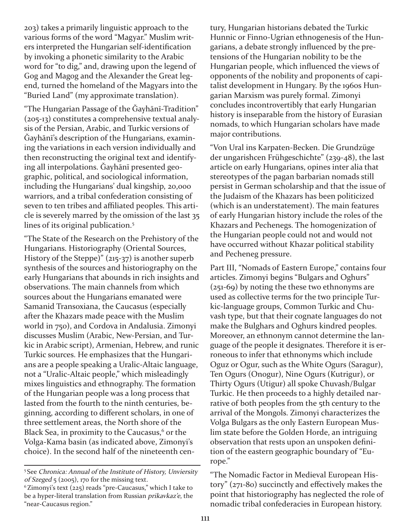203) takes a primarily linguistic approach to the various forms of the word "Magyar." Muslim writers interpreted the Hungarian self-identification by invoking a phonetic similarity to the Arabic word for "to dig," and, drawing upon the legend of Gog and Magog and the Alexander the Great legend, turned the homeland of the Magyars into the "Buried Land" (my approximate translation).

"The Hungarian Passage of the Gayhānī-Tradition" (205-13) constitutes a comprehensive textual analysis of the Persian, Arabic, and Turkic versions of Ǧayhānī's description of the Hungarians, examining the variations in each version individually and then reconstructing the original text and identifying all interpolations. Ǧayhānī presented geographic, political, and sociological information, including the Hungarians' dual kingship, 20,000 warriors, and a tribal confederation consisting of seven to ten tribes and affiliated peoples. This article is severely marred by the omission of the last 35 lines of its original publication.<sup>5</sup>

"The State of the Research on the Prehistory of the Hungarians. Historiography (Oriental Sources, History of the Steppe)"  $(215-37)$  is another superb synthesis of the sources and historiography on the early Hungarians that abounds in rich insights and observations. The main channels from which sources about the Hungarians emanated were Samanid Transoxiana, the Caucasus (especially after the Khazars made peace with the Muslim world in 750), and Cordova in Andalusia. Zimonyi discusses Muslim (Arabic, New-Persian, and Turkic in Arabic script), Armenian, Hebrew, and runic Turkic sources. He emphasizes that the Hungarians are a people speaking a Uralic-Altaic language, not a "Uralic-Altaic people," which misleadingly mixes linguistics and ethnography. The formation of the Hungarian people was a long process that lasted from the fourth to the ninth centuries, beginning, according to different scholars, in one of three settlement areas, the North shore of the Black Sea, in proximity to the Caucasus, <sup>6</sup> or the Volga-Kama basin (as indicated above, Zimonyi's choice). In the second half of the nineteenth century, Hungarian historians debated the Turkic Hunnic or Finno-Ugrian ethnogenesis of the Hungarians, a debate strongly influenced by the pretensions of the Hungarian nobility to be the Hungarian people, which influenced the views of opponents of the nobility and proponents of capitalist development in Hungary. By the 1960s Hungarian Marxism was purely formal. Zimonyi concludes incontrovertibly that early Hungarian history is inseparable from the history of Eurasian nomads, to which Hungarian scholars have made major contributions.

"Von Ural ins Karpaten-Becken. Die Grundzüge der ungarishcen Frühgeschichte" (239-48), the last article on early Hungarians, opines inter alia that stereotypes of the pagan barbarian nomads still persist in German scholarship and that the issue of the Judaism of the Khazars has been politicized (which is an understatement). The main features of early Hungarian history include the roles of the Khazars and Pechenegs. The homogenization of the Hungarian people could not and would not have occurred without Khazar political stability and Pecheneg pressure.

Part III, "Nomads of Eastern Europe," contains four articles. Zimonyi begins "Bulgars and Oghurs" (251-69) by noting the these two ethnonyms are used as collective terms for the two principle Turkic-language groups, Common Turkic and Chuvash type, but that their cognate languages do not make the Bulghars and Oghurs kindred peoples. Moreover, an ethnonym cannot determine the language of the people it designates. Therefore it is erroneous to infer that ethnonyms which include Oguz or Ogur, such as the White Ogurs (Saragur), Ten Ogurs (Onogur), Nine Ogurs (Kutrigur), or Thirty Ogurs (Utigur) all spoke Chuvash/Bulgar Turkic. He then proceeds to a highly detailed narrative of both peoples from the 5th century to the arrival of the Mongols. Zimonyi characterizes the Volga Bulgars as the only Eastern European Muslim state before the Golden Horde, an intriguing observation that rests upon an unspoken definition of the eastern geographic boundary of "Europe."

<sup>5</sup> See Chronica: Annual of the Institute of History, Unviersity of Szeged 5 (2005), 170 for the missing text.

 $6$  Zimonyi's text (225) reads "pre-Caucasus," which I take to be a hyper-literal translation from Russian prikavkaz'e, the "near-Caucasus region."

<sup>&</sup>quot;The Nomadic Factor in Medieval European History" (271-80) succinctly and effectively makes the point that historiography has neglected the role of nomadic tribal confederacies in European history.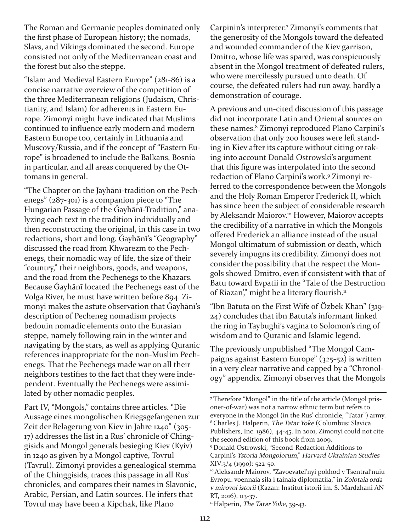The Roman and Germanic peoples dominated only the first phase of European history; the nomads, Slavs, and Vikings dominated the second. Europe consisted not only of the Mediterranean coast and the forest but also the steppe.

"Islam and Medieval Eastern Europe"  $(281-86)$  is a concise narrative overview of the competition of the three Mediterranean religions (Judaism, Christianity, and Islam) for adherents in Eastern Europe. Zimonyi might have indicated that Muslims continued to influence early modern and modern Eastern Europe too, certainly in Lithuania and Muscovy/Russia, and if the concept of "Eastern Europe" is broadened to include the Balkans, Bosnia in particular, and all areas conquered by the Ottomans in general.

"The Chapter on the Jayhānī-tradition on the Pechenegs"  $(287-301)$  is a companion piece to "The Hungarian Passage of the Gayhānī-Tradition," analyzing each text in the tradition individually and then reconstructing the original, in this case in two redactions, short and long. Gayhānī's "Geography" discussed the road from Khwarezm to the Pechenegs, their nomadic way of life, the size of their "country," their neighbors, goods, and weapons, and the road from the Pechenegs to the Khazars. Because Ǧayhānī located the Pechenegs east of the Volga River, he must have written before 894. Zimonyi makes the astute observation that Gayhānī's description of Pecheneg nomadism projects bedouin nomadic elements onto the Eurasian steppe, namely following rain in the winter and navigating by the stars, as well as applying Quranic references inappropriate for the non-Muslim Pechenegs. That the Pechenegs made war on all their neighbors testifies to the fact that they were independent. Eventually the Pechenegs were assimilated by other nomadic peoples.

Part IV, "Mongols," contains three articles. "Die Aussage eines mongolischen Kriegsgefangenen zur Zeit der Belagerung von Kiev in Jahre 1240" (305 17) addresses the list in a Rus' chronicle of Chinggisids and Mongol generals besieging Kiev (Kyiv) in 1240 as given by a Mongol captive, Tovrul (Tavrul). Zimonyi provides a genealogical stemma of the Chinggisids, traces this passage in all Rus' chronicles, and compares their names in Slavonic, Arabic, Persian, and Latin sources. He infers that Tovrul may have been a Kipchak, like Plano

Carpinin's interpreter. <sup>7</sup> Zimonyi's comments that the generosity of the Mongols toward the defeated and wounded commander of the Kiev garrison, Dmitro, whose life was spared, was conspicuously absent in the Mongol treatment of defeated rulers, who were mercilessly pursued unto death. Of course, the defeated rulers had run away, hardly a demonstration of courage.

A previous and un-cited discussion of this passage did not incorporate Latin and Oriental sources on these names. <sup>8</sup> Zimonyi reproduced Plano Carpini's observation that only 200 houses were left standing in Kiev after its capture without citing or taking into account Donald Ostrowski's argument that this figure was interpolated into the second redaction of Plano Carpini's work. <sup>9</sup> Zimonyi referred to the correspondence between the Mongols and the Holy Roman Emperor Frederick II, which has since been the subject of considerable research by Aleksandr Maiorov.<sup>10</sup> However, Maiorov accepts the credibility of a narrative in which the Mongols offered Frederick an alliance instead of the usual Mongol ultimatum of submission or death, which severely impugns its credibility. Zimonyi does not consider the possibility that the respect the Mongols showed Dmitro, even if consistent with that of Batu toward Evpatii in the "Tale of the Destruction of Riazan'," might be a literary flourish.<sup>11</sup>

"Ibn Batuta on the First Wife of Özbek Khan" (319 24) concludes that ibn Batuta's informant linked the ring in Taybughi's vagina to Solomon's ring of wisdom and to Quranic and Islamic legend.

The previously unpublished "The Mongol Campaigns against Eastern Europe"  $(325-52)$  is written in a very clear narrative and capped by a "Chronology" appendix. Zimonyi observes that the Mongols

<sup>7</sup>Therefore "Mongol" in the title of the article (Mongol prisoner-of-war) was not a narrow ethnic term but refers to everyone in the Mongol (in the Rus' chronicle, "Tatar") army. 8Charles J. Halperin, The Tatar Yoke (Columbus: Slavica Publishers, Inc. 1986), 44-45. In 2001, Zimonyi could not cite the second edition of this book from 2009.

<sup>&</sup>lt;sup>9</sup> Donald Ostrowski, "Second-Redaction Additions to Carpini's Ystoria Mongolorum," Harvard Ukrainian Studies  $XIV:3/4$  (1990): 522-50.

<sup>10</sup>Aleksandr Maiorov, "Zavoevatel'nyi pokhod v Tsentral'nuiu Evropu: voennaia sila i tainaia diplomatiia," in Zolotaia orda <sup>v</sup> mirovoi istorii (Kazan: Institut istorii im. S. Mardzhani AN RT, 2016), 113-37.

<sup>&</sup>lt;sup>11</sup> Halperin, *The Tatar Yoke*, 39-43.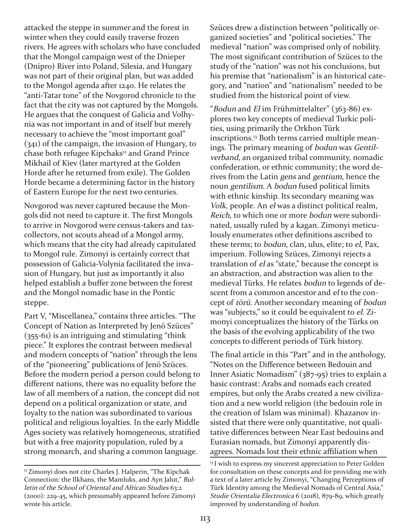attacked the steppe in summer and the forest in winter when they could easily traverse frozen rivers. He agrees with scholars who have concluded that the Mongol campaign west of the Dnieper (Dnipro) River into Poland, Silesia, and Hungary was not part of their original plan, but was added to the Mongol agenda after 1240. He relates the "anti-Tatar tone" of the Novgorod chronicle to the fact that the city was not captured by the Mongols. He argues that the conquest of Galicia and Volhynia was not important in and of itself but merely necessary to achieve the "most important goal" (341) of the campaign, the invasion of Hungary, to chase both refugee Kipchaks<sup>12</sup> and Grand Prince Mikhail of Kiev (later martyred at the Golden Horde after he returned from exile). The Golden Horde became a determining factor in the history of Eastern Europe for the next two centuries.

Novgorod was never captured because the Mongols did not need to capture it. The first Mongols to arrive in Novgorod were census-takers and taxcollectors, not scouts ahead of a Mongol army, which means that the city had already capitulated to Mongol rule. Zimonyi is certainly correct that possession of Galicia-Volynia facilitated the invasion of Hungary, but just as importantly it also helped establish a buffer zone between the forest and the Mongol nomadic base in the Pontic steppe.

Part V, "Miscellanea," contains three articles. "The Concept of Nation as Interpreted by Jenö Szüces"  $(355-61)$  is an intriguing and stimulating "think piece." It explores the contrast between medieval and modern concepts of "nation" through the lens of the "pioneering" publications of Jenö Szüces. Before the modern period a person could belong to different nations, there was no equality before the law of all members of a nation, the concept did not depend on a political organization or state, and loyalty to the nation was subordinated to various political and religious loyalties. In the early Middle Ages society was relatively homogeneous, stratified but with a free majority population, ruled by a strong monarch, and sharing a common language.

Szüces drew a distinction between "politically organized societies" and "political societies." The medieval "nation" was comprised only of nobility. The most significant contribution of Szüces to the study of the "nation" was not his conclusions, but his premise that "nationalism" is an historical category, and "nation" and "nationalism" needed to be studied from the historical point of view.

"Bodun and El im Frühmittelalter"  $(363-86)$  explores two key concepts of medieval Turkic polities, using primarily the Orkhon Türk inscriptions. <sup>13</sup> Both terms carried multiple meanings. The primary meaning of bodun was Gentilverband, an organized tribal community, nomadic confederation, or ethnic community; the word derives from the Latin gens and gentium, hence the noun gentilism. A bodun fused political limits with ethnic kinship. Its secondary meaning was Volk, people. An el was a distinct political realm, Reich, to which one or more bodun were subordinated, usually ruled by a kagan. Zimonyi meticulously enumerates other definitions ascribed to these terms; to bodun, clan, ulus, elite; to el, Pax, imperium. Following Szüces, Zimonyi rejects a translation of el as "state," because the concept is an abstraction, and abstraction was alien to the medieval Türks. He relates bodun to legends of descent from a common ancestor and el to the concept of törü. Another secondary meaning of bodun was "subjects," so it could be equivalent to el. Zimonyi conceptualizes the history of the Türks on the basis of the evolving applicability of the two concepts to different periods of Türk history.

The final article in this "Part" and in the anthology, "Notes on the Difference between Bedouin and Inner Asiatic Nomadism" (387-95) tries to explain a basic contrast: Arabs and nomads each created empires, but only the Arabs created a new civilization and a new world religion (the bedouin role in the creation of Islam was minimal). Khazanov insisted that there were only quantitative, not qualitative differences between Near East bedouins and Eurasian nomads, but Zimonyi apparently disagrees. Nomads lost their ethnic affiliation when

<sup>&</sup>lt;sup>12</sup> Zimonyi does not cite Charles J. Halperin, "The Kipchak Connection: the Ilkhans, the Mamluks, and Ayn Jalut," Bulletin of the School of Oriental and African Studies 63:2 (2000): 22945, which presumably appeared before Zimonyi wrote his article.

<sup>&</sup>lt;sup>13</sup> I wish to express my sincerest appreciation to Peter Golden for consultation on these concepts and for providing me with a text of a later article by Zimonyi, "Changing Perceptions of Türk Identity among the Medieval Nomads of Central Asia," Studie Orientalia Electronica  $6$  (2018), 879-89, which greatly improved by understanding of bodun.